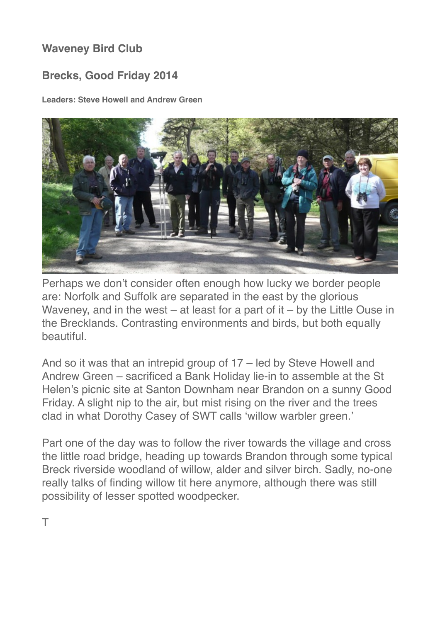## **Waveney Bird Club**

## **Brecks, Good Friday 2014**

**Leaders: Steve Howell and Andrew Green** 



Perhaps we don't consider often enough how lucky we border people are: Norfolk and Suffolk are separated in the east by the glorious Waveney, and in the west – at least for a part of it – by the Little Ouse in the Brecklands. Contrasting environments and birds, but both equally beautiful.

And so it was that an intrepid group of 17 – led by Steve Howell and Andrew Green – sacrificed a Bank Holiday lie-in to assemble at the St Helen's picnic site at Santon Downham near Brandon on a sunny Good Friday. A slight nip to the air, but mist rising on the river and the trees clad in what Dorothy Casey of SWT calls 'willow warbler green.'

Part one of the day was to follow the river towards the village and cross the little road bridge, heading up towards Brandon through some typical Breck riverside woodland of willow, alder and silver birch. Sadly, no-one really talks of finding willow tit here anymore, although there was still possibility of lesser spotted woodpecker.

T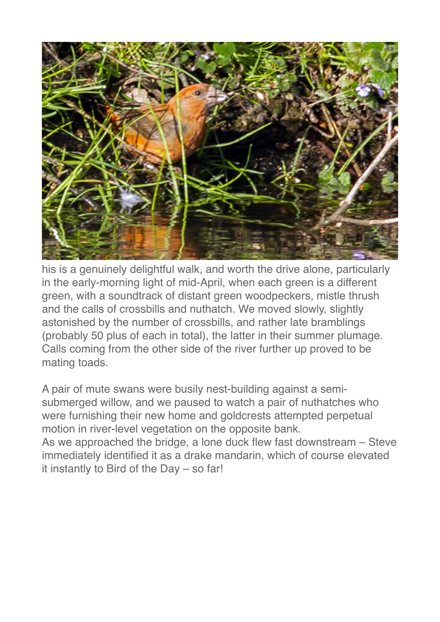

his is a genuinely delightful walk, and worth the drive alone, particularly in the early-morning light of mid-April, when each green is a different green, with a soundtrack of distant green woodpeckers, mistle thrush and the calls of crossbills and nuthatch. We moved slowly, slightly astonished by the number of crossbills, and rather late bramblings (probably 50 plus of each in total), the latter in their summer plumage. Calls coming from the other side of the river further up proved to be mating toads.

A pair of mute swans were busily nest-building against a semisubmerged willow, and we paused to watch a pair of nuthatches who were furnishing their new home and goldcrests attempted perpetual motion in river-level vegetation on the opposite bank. As we approached the bridge, a lone duck flew fast downstream – Steve

immediately identified it as a drake mandarin, which of course elevated it instantly to Bird of the Day – so far!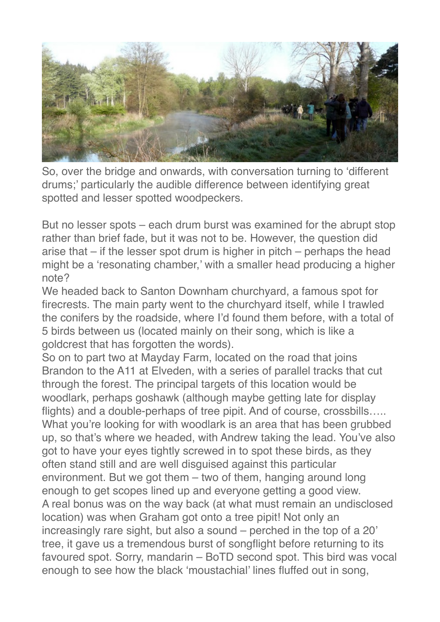

So, over the bridge and onwards, with conversation turning to 'different drums;' particularly the audible difference between identifying great spotted and lesser spotted woodpeckers.

But no lesser spots – each drum burst was examined for the abrupt stop rather than brief fade, but it was not to be. However, the question did arise that – if the lesser spot drum is higher in pitch – perhaps the head might be a 'resonating chamber,' with a smaller head producing a higher note?

We headed back to Santon Downham churchyard, a famous spot for firecrests. The main party went to the churchyard itself, while I trawled the conifers by the roadside, where I'd found them before, with a total of 5 birds between us (located mainly on their song, which is like a goldcrest that has forgotten the words).

So on to part two at Mayday Farm, located on the road that joins Brandon to the A11 at Elveden, with a series of parallel tracks that cut through the forest. The principal targets of this location would be woodlark, perhaps goshawk (although maybe getting late for display flights) and a double-perhaps of tree pipit. And of course, crossbills….. What you're looking for with woodlark is an area that has been grubbed up, so that's where we headed, with Andrew taking the lead. You've also got to have your eyes tightly screwed in to spot these birds, as they often stand still and are well disguised against this particular environment. But we got them – two of them, hanging around long enough to get scopes lined up and everyone getting a good view. A real bonus was on the way back (at what must remain an undisclosed location) was when Graham got onto a tree pipit! Not only an increasingly rare sight, but also a sound – perched in the top of a 20' tree, it gave us a tremendous burst of songflight before returning to its favoured spot. Sorry, mandarin – BoTD second spot. This bird was vocal enough to see how the black 'moustachial' lines fluffed out in song,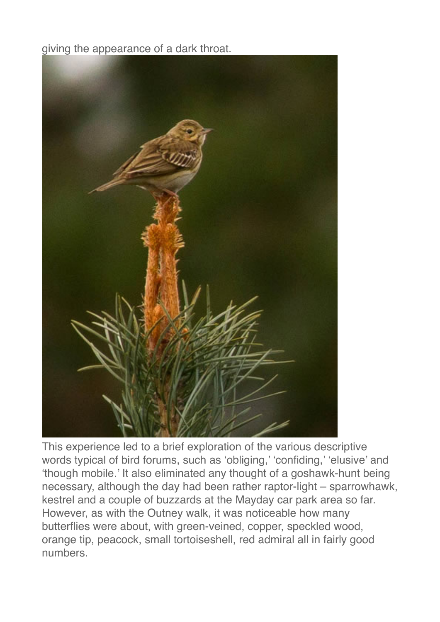giving the appearance of a dark throat.



This experience led to a brief exploration of the various descriptive words typical of bird forums, such as 'obliging,' 'confiding,' 'elusive' and 'though mobile.' It also eliminated any thought of a goshawk-hunt being necessary, although the day had been rather raptor-light – sparrowhawk, kestrel and a couple of buzzards at the Mayday car park area so far. However, as with the Outney walk, it was noticeable how many butterflies were about, with green-veined, copper, speckled wood, orange tip, peacock, small tortoiseshell, red admiral all in fairly good numbers.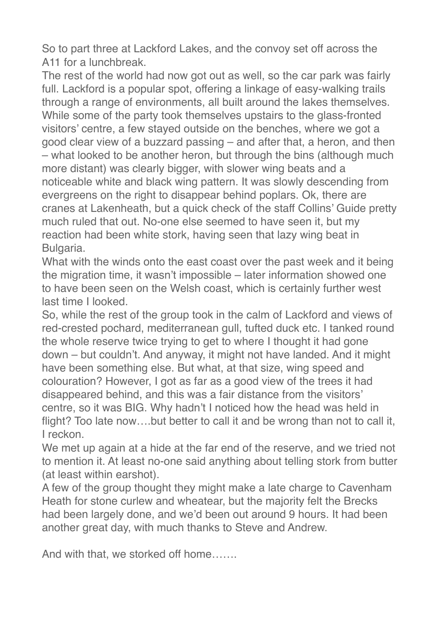So to part three at Lackford Lakes, and the convoy set off across the A11 for a lunchbreak.

The rest of the world had now got out as well, so the car park was fairly full. Lackford is a popular spot, offering a linkage of easy-walking trails through a range of environments, all built around the lakes themselves. While some of the party took themselves upstairs to the glass-fronted visitors' centre, a few stayed outside on the benches, where we got a good clear view of a buzzard passing – and after that, a heron, and then – what looked to be another heron, but through the bins (although much more distant) was clearly bigger, with slower wing beats and a noticeable white and black wing pattern. It was slowly descending from evergreens on the right to disappear behind poplars. Ok, there are cranes at Lakenheath, but a quick check of the staff Collins' Guide pretty much ruled that out. No-one else seemed to have seen it, but my reaction had been white stork, having seen that lazy wing beat in Bulgaria.

What with the winds onto the east coast over the past week and it being the migration time, it wasn't impossible – later information showed one to have been seen on the Welsh coast, which is certainly further west last time I looked.

So, while the rest of the group took in the calm of Lackford and views of red-crested pochard, mediterranean gull, tufted duck etc. I tanked round the whole reserve twice trying to get to where I thought it had gone down – but couldn't. And anyway, it might not have landed. And it might have been something else. But what, at that size, wing speed and colouration? However, I got as far as a good view of the trees it had disappeared behind, and this was a fair distance from the visitors' centre, so it was BIG. Why hadn't I noticed how the head was held in flight? Too late now….but better to call it and be wrong than not to call it, I reckon.

We met up again at a hide at the far end of the reserve, and we tried not to mention it. At least no-one said anything about telling stork from butter (at least within earshot).

A few of the group thought they might make a late charge to Cavenham Heath for stone curlew and wheatear, but the majority felt the Brecks had been largely done, and we'd been out around 9 hours. It had been another great day, with much thanks to Steve and Andrew.

And with that, we storked off home…….